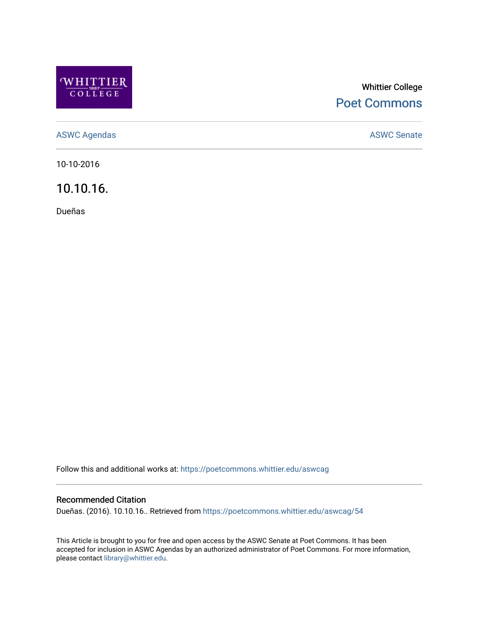

## Whittier College [Poet Commons](https://poetcommons.whittier.edu/)

[ASWC Agendas](https://poetcommons.whittier.edu/aswcag) **ASWC Senate** 

10-10-2016

10.10.16.

Dueñas

Follow this and additional works at: [https://poetcommons.whittier.edu/aswcag](https://poetcommons.whittier.edu/aswcag?utm_source=poetcommons.whittier.edu%2Faswcag%2F54&utm_medium=PDF&utm_campaign=PDFCoverPages) 

## Recommended Citation

Dueñas. (2016). 10.10.16.. Retrieved from [https://poetcommons.whittier.edu/aswcag/54](https://poetcommons.whittier.edu/aswcag/54?utm_source=poetcommons.whittier.edu%2Faswcag%2F54&utm_medium=PDF&utm_campaign=PDFCoverPages) 

This Article is brought to you for free and open access by the ASWC Senate at Poet Commons. It has been accepted for inclusion in ASWC Agendas by an authorized administrator of Poet Commons. For more information, please contact [library@whittier.edu](mailto:library@whittier.edu).